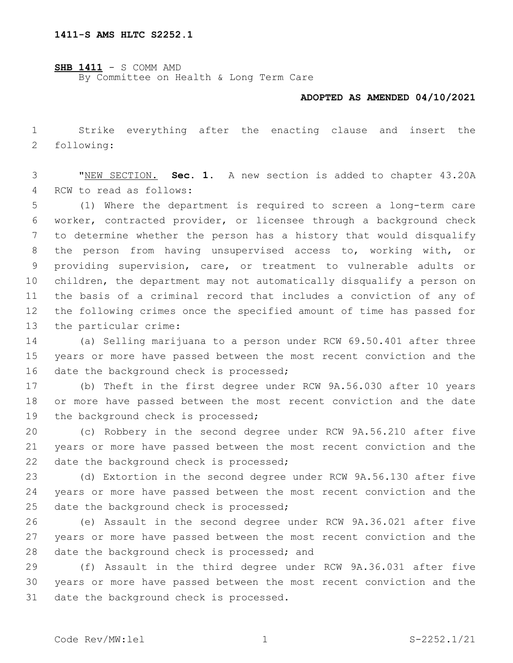**SHB 1411** - S COMM AMD By Committee on Health & Long Term Care

## **ADOPTED AS AMENDED 04/10/2021**

 Strike everything after the enacting clause and insert the 2 following:

 "NEW SECTION. **Sec. 1.** A new section is added to chapter 43.20A 4 RCW to read as follows:

 (1) Where the department is required to screen a long-term care worker, contracted provider, or licensee through a background check to determine whether the person has a history that would disqualify the person from having unsupervised access to, working with, or providing supervision, care, or treatment to vulnerable adults or children, the department may not automatically disqualify a person on the basis of a criminal record that includes a conviction of any of the following crimes once the specified amount of time has passed for 13 the particular crime:

 (a) Selling marijuana to a person under RCW 69.50.401 after three years or more have passed between the most recent conviction and the 16 date the background check is processed;

 (b) Theft in the first degree under RCW 9A.56.030 after 10 years or more have passed between the most recent conviction and the date 19 the background check is processed;

 (c) Robbery in the second degree under RCW 9A.56.210 after five years or more have passed between the most recent conviction and the 22 date the background check is processed;

 (d) Extortion in the second degree under RCW 9A.56.130 after five years or more have passed between the most recent conviction and the 25 date the background check is processed;

 (e) Assault in the second degree under RCW 9A.36.021 after five years or more have passed between the most recent conviction and the 28 date the background check is processed; and

 (f) Assault in the third degree under RCW 9A.36.031 after five years or more have passed between the most recent conviction and the 31 date the background check is processed.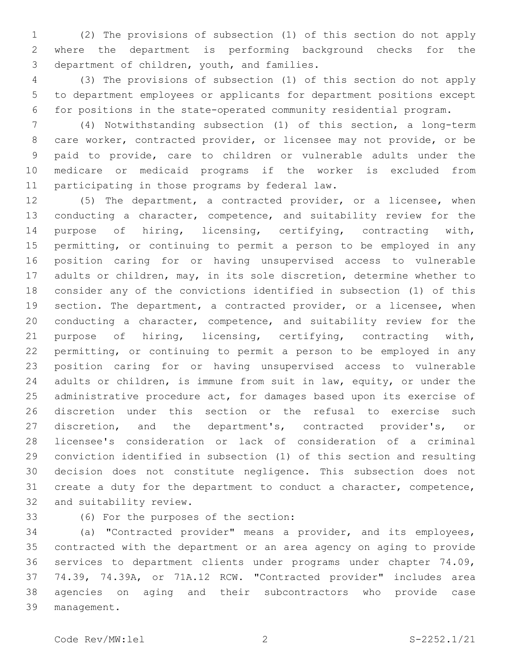(2) The provisions of subsection (1) of this section do not apply where the department is performing background checks for the 3 department of children, youth, and families.

 (3) The provisions of subsection (1) of this section do not apply to department employees or applicants for department positions except for positions in the state-operated community residential program.

 (4) Notwithstanding subsection (1) of this section, a long-term care worker, contracted provider, or licensee may not provide, or be paid to provide, care to children or vulnerable adults under the medicare or medicaid programs if the worker is excluded from 11 participating in those programs by federal law.

 (5) The department, a contracted provider, or a licensee, when conducting a character, competence, and suitability review for the purpose of hiring, licensing, certifying, contracting with, permitting, or continuing to permit a person to be employed in any position caring for or having unsupervised access to vulnerable adults or children, may, in its sole discretion, determine whether to consider any of the convictions identified in subsection (1) of this section. The department, a contracted provider, or a licensee, when conducting a character, competence, and suitability review for the purpose of hiring, licensing, certifying, contracting with, permitting, or continuing to permit a person to be employed in any position caring for or having unsupervised access to vulnerable adults or children, is immune from suit in law, equity, or under the administrative procedure act, for damages based upon its exercise of discretion under this section or the refusal to exercise such 27 discretion, and the department's, contracted provider's, or licensee's consideration or lack of consideration of a criminal conviction identified in subsection (1) of this section and resulting decision does not constitute negligence. This subsection does not create a duty for the department to conduct a character, competence, 32 and suitability review.

33 (6) For the purposes of the section:

 (a) "Contracted provider" means a provider, and its employees, contracted with the department or an area agency on aging to provide services to department clients under programs under chapter 74.09, 74.39, 74.39A, or 71A.12 RCW. "Contracted provider" includes area agencies on aging and their subcontractors who provide case 39 management.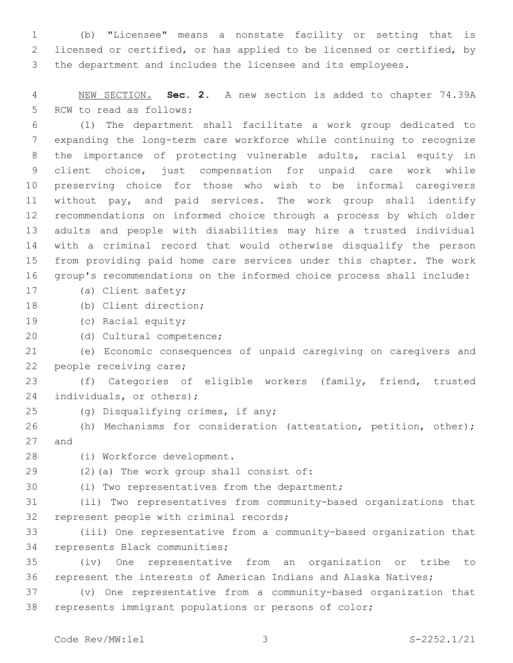(b) "Licensee" means a nonstate facility or setting that is licensed or certified, or has applied to be licensed or certified, by the department and includes the licensee and its employees.

 NEW SECTION. **Sec. 2.** A new section is added to chapter 74.39A 5 RCW to read as follows:

 (1) The department shall facilitate a work group dedicated to expanding the long-term care workforce while continuing to recognize the importance of protecting vulnerable adults, racial equity in client choice, just compensation for unpaid care work while preserving choice for those who wish to be informal caregivers without pay, and paid services. The work group shall identify recommendations on informed choice through a process by which older adults and people with disabilities may hire a trusted individual with a criminal record that would otherwise disqualify the person from providing paid home care services under this chapter. The work group's recommendations on the informed choice process shall include:

- 17 (a) Client safety;
- 18 (b) Client direction;
- 19 (c) Racial equity;
- 20 (d) Cultural competence;

 (e) Economic consequences of unpaid caregiving on caregivers and 22 people receiving care;

 (f) Categories of eligible workers (family, friend, trusted 24 individuals, or others);

- 
- 25 (g) Disqualifying crimes, if any;

 (h) Mechanisms for consideration (attestation, petition, other); 27 and

- 28 (i) Workforce development.
- 29 (2)(a) The work group shall consist of:
- 30 (i) Two representatives from the department;

 (ii) Two representatives from community-based organizations that 32 represent people with criminal records;

 (iii) One representative from a community-based organization that 34 represents Black communities;

 (iv) One representative from an organization or tribe to represent the interests of American Indians and Alaska Natives;

 (v) One representative from a community-based organization that represents immigrant populations or persons of color;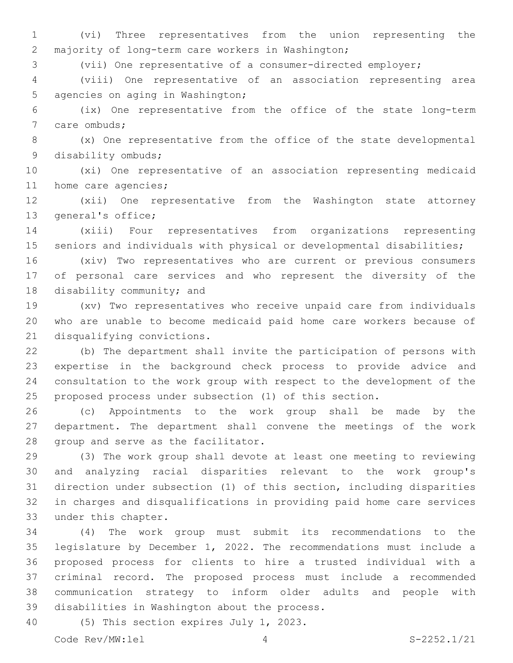(vi) Three representatives from the union representing the 2 majority of long-term care workers in Washington;

(vii) One representative of a consumer-directed employer;

 (viii) One representative of an association representing area 5 agencies on aging in Washington;

 (ix) One representative from the office of the state long-term 7 care ombuds;

 (x) One representative from the office of the state developmental 9 disability ombuds;

 (xi) One representative of an association representing medicaid 11 home care agencies;

 (xii) One representative from the Washington state attorney 13 general's office;

 (xiii) Four representatives from organizations representing 15 seniors and individuals with physical or developmental disabilities;

 (xiv) Two representatives who are current or previous consumers of personal care services and who represent the diversity of the 18 disability community; and

 (xv) Two representatives who receive unpaid care from individuals who are unable to become medicaid paid home care workers because of 21 disqualifying convictions.

 (b) The department shall invite the participation of persons with expertise in the background check process to provide advice and consultation to the work group with respect to the development of the proposed process under subsection (1) of this section.

 (c) Appointments to the work group shall be made by the department. The department shall convene the meetings of the work 28 group and serve as the facilitator.

 (3) The work group shall devote at least one meeting to reviewing and analyzing racial disparities relevant to the work group's direction under subsection (1) of this section, including disparities in charges and disqualifications in providing paid home care services 33 under this chapter.

 (4) The work group must submit its recommendations to the legislature by December 1, 2022. The recommendations must include a proposed process for clients to hire a trusted individual with a criminal record. The proposed process must include a recommended communication strategy to inform older adults and people with 39 disabilities in Washington about the process.

40 (5) This section expires July 1, 2023.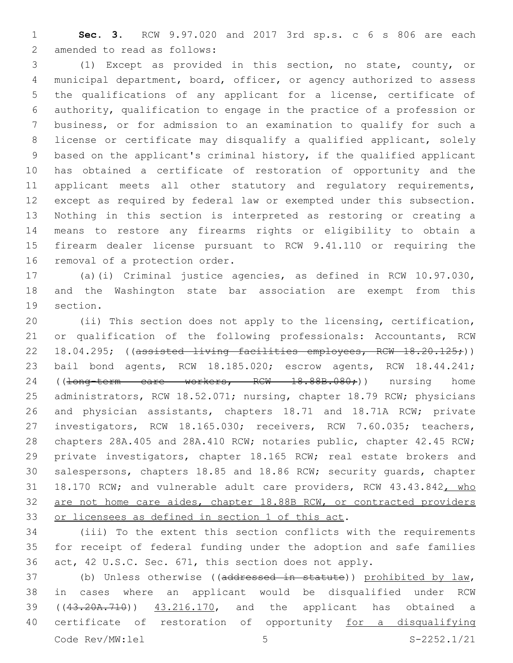**Sec. 3.** RCW 9.97.020 and 2017 3rd sp.s. c 6 s 806 are each 2 amended to read as follows:

 (1) Except as provided in this section, no state, county, or municipal department, board, officer, or agency authorized to assess the qualifications of any applicant for a license, certificate of authority, qualification to engage in the practice of a profession or business, or for admission to an examination to qualify for such a license or certificate may disqualify a qualified applicant, solely based on the applicant's criminal history, if the qualified applicant has obtained a certificate of restoration of opportunity and the 11 applicant meets all other statutory and regulatory requirements, except as required by federal law or exempted under this subsection. Nothing in this section is interpreted as restoring or creating a means to restore any firearms rights or eligibility to obtain a firearm dealer license pursuant to RCW 9.41.110 or requiring the 16 removal of a protection order.

 (a)(i) Criminal justice agencies, as defined in RCW 10.97.030, and the Washington state bar association are exempt from this 19 section.

 (ii) This section does not apply to the licensing, certification, or qualification of the following professionals: Accountants, RCW 22 18.04.295; ((assisted living facilities employees, RCW 18.20.125;)) bail bond agents, RCW 18.185.020; escrow agents, RCW 18.44.241; 24 ((<del>long-term care workers, RCW 18.88B.080;</del>)) nursing home 25 administrators, RCW 18.52.071; nursing, chapter 18.79 RCW; physicians and physician assistants, chapters 18.71 and 18.71A RCW; private investigators, RCW 18.165.030; receivers, RCW 7.60.035; teachers, chapters 28A.405 and 28A.410 RCW; notaries public, chapter 42.45 RCW; private investigators, chapter 18.165 RCW; real estate brokers and salespersons, chapters 18.85 and 18.86 RCW; security guards, chapter 31 18.170 RCW; and vulnerable adult care providers, RCW 43.43.842, who 32 are not home care aides, chapter 18.88B RCW, or contracted providers 33 or licensees as defined in section 1 of this act.

 (iii) To the extent this section conflicts with the requirements for receipt of federal funding under the adoption and safe families act, 42 U.S.C. Sec. 671, this section does not apply.

 (b) Unless otherwise ((addressed in statute)) prohibited by law, in cases where an applicant would be disqualified under RCW ((43.20A.710)) 43.216.170, and the applicant has obtained a 40 certificate of restoration of opportunity for a disqualifying Code Rev/MW: lel 5 5 S-2252.1/21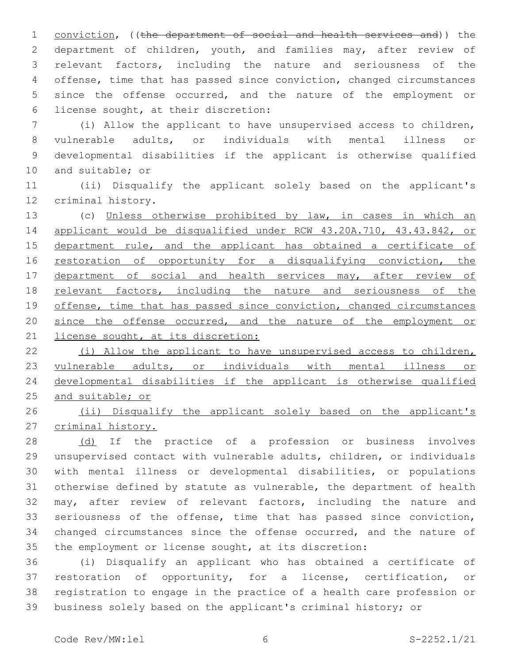1 conviction, ((the department of social and health services and)) the 2 department of children, youth, and families may, after review of relevant factors, including the nature and seriousness of the offense, time that has passed since conviction, changed circumstances since the offense occurred, and the nature of the employment or 6 license sought, at their discretion:

 (i) Allow the applicant to have unsupervised access to children, vulnerable adults, or individuals with mental illness or developmental disabilities if the applicant is otherwise qualified 10 and suitable; or

 (ii) Disqualify the applicant solely based on the applicant's 12 criminal history.

 (c) Unless otherwise prohibited by law, in cases in which an applicant would be disqualified under RCW 43.20A.710, 43.43.842, or 15 department rule, and the applicant has obtained a certificate of 16 restoration of opportunity for a disqualifying conviction, the department of social and health services may, after review of 18 relevant factors, including the nature and seriousness of the 19 offense, time that has passed since conviction, changed circumstances since the offense occurred, and the nature of the employment or 21 license sought, at its discretion:

 (i) Allow the applicant to have unsupervised access to children, 23 vulnerable adults, or individuals with mental illness or developmental disabilities if the applicant is otherwise qualified and suitable; or

26 (ii) Disqualify the applicant solely based on the applicant's criminal history.

28 (d) If the practice of a profession or business involves unsupervised contact with vulnerable adults, children, or individuals with mental illness or developmental disabilities, or populations otherwise defined by statute as vulnerable, the department of health may, after review of relevant factors, including the nature and seriousness of the offense, time that has passed since conviction, changed circumstances since the offense occurred, and the nature of the employment or license sought, at its discretion:

 (i) Disqualify an applicant who has obtained a certificate of restoration of opportunity, for a license, certification, or registration to engage in the practice of a health care profession or business solely based on the applicant's criminal history; or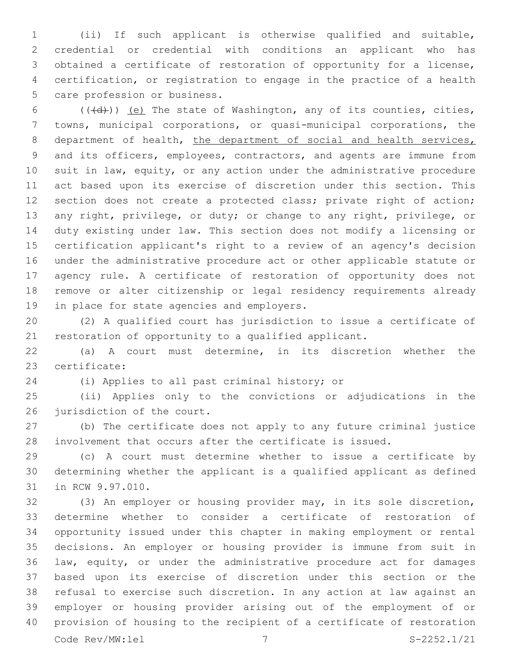(ii) If such applicant is otherwise qualified and suitable, credential or credential with conditions an applicant who has obtained a certificate of restoration of opportunity for a license, certification, or registration to engage in the practice of a health 5 care profession or business.

 $((\text{+d})^2)$  (e) The state of Washington, any of its counties, cities, towns, municipal corporations, or quasi-municipal corporations, the 8 department of health, the department of social and health services, and its officers, employees, contractors, and agents are immune from suit in law, equity, or any action under the administrative procedure act based upon its exercise of discretion under this section. This section does not create a protected class; private right of action; any right, privilege, or duty; or change to any right, privilege, or duty existing under law. This section does not modify a licensing or certification applicant's right to a review of an agency's decision under the administrative procedure act or other applicable statute or agency rule. A certificate of restoration of opportunity does not remove or alter citizenship or legal residency requirements already 19 in place for state agencies and employers.

 (2) A qualified court has jurisdiction to issue a certificate of restoration of opportunity to a qualified applicant.

 (a) A court must determine, in its discretion whether the 23 certificate:

24 (i) Applies to all past criminal history; or

 (ii) Applies only to the convictions or adjudications in the 26 jurisdiction of the court.

 (b) The certificate does not apply to any future criminal justice involvement that occurs after the certificate is issued.

 (c) A court must determine whether to issue a certificate by determining whether the applicant is a qualified applicant as defined 31 in RCW 9.97.010.

 (3) An employer or housing provider may, in its sole discretion, determine whether to consider a certificate of restoration of opportunity issued under this chapter in making employment or rental decisions. An employer or housing provider is immune from suit in law, equity, or under the administrative procedure act for damages based upon its exercise of discretion under this section or the refusal to exercise such discretion. In any action at law against an employer or housing provider arising out of the employment of or provision of housing to the recipient of a certificate of restoration Code Rev/MW:lel 7 S-2252.1/21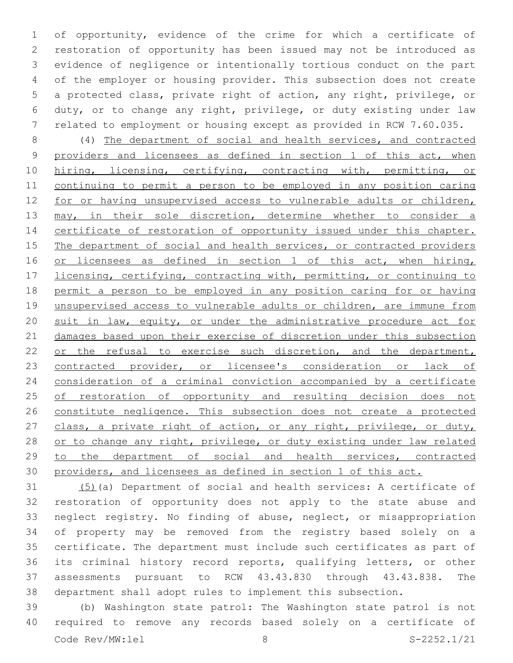of opportunity, evidence of the crime for which a certificate of restoration of opportunity has been issued may not be introduced as evidence of negligence or intentionally tortious conduct on the part of the employer or housing provider. This subsection does not create a protected class, private right of action, any right, privilege, or duty, or to change any right, privilege, or duty existing under law related to employment or housing except as provided in RCW 7.60.035.

 (4) The department of social and health services, and contracted providers and licensees as defined in section 1 of this act, when 10 hiring, licensing, certifying, contracting with, permitting, or continuing to permit a person to be employed in any position caring 12 for or having unsupervised access to vulnerable adults or children, 13 may, in their sole discretion, determine whether to consider a 14 certificate of restoration of opportunity issued under this chapter. 15 The department of social and health services, or contracted providers 16 or licensees as defined in section 1 of this act, when hiring, 17 licensing, certifying, contracting with, permitting, or continuing to permit a person to be employed in any position caring for or having 19 unsupervised access to vulnerable adults or children, are immune from suit in law, equity, or under the administrative procedure act for damages based upon their exercise of discretion under this subsection 22 or the refusal to exercise such discretion, and the department, 23 contracted provider, or licensee's consideration or lack of consideration of a criminal conviction accompanied by a certificate 25 of restoration of opportunity and resulting decision does not constitute negligence. This subsection does not create a protected 27 class, a private right of action, or any right, privilege, or duty, 28 or to change any right, privilege, or duty existing under law related to the department of social and health services, contracted providers, and licensees as defined in section 1 of this act.

 (5)(a) Department of social and health services: A certificate of restoration of opportunity does not apply to the state abuse and neglect registry. No finding of abuse, neglect, or misappropriation of property may be removed from the registry based solely on a certificate. The department must include such certificates as part of its criminal history record reports, qualifying letters, or other assessments pursuant to RCW 43.43.830 through 43.43.838. The department shall adopt rules to implement this subsection.

 (b) Washington state patrol: The Washington state patrol is not required to remove any records based solely on a certificate of Code Rev/MW:lel 8 S-2252.1/21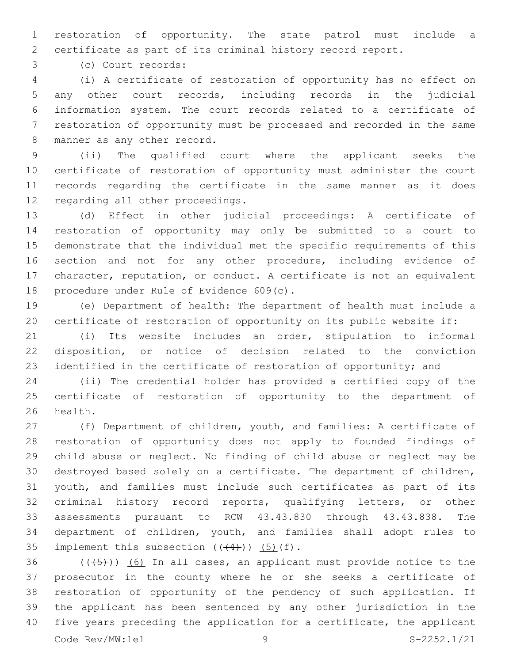restoration of opportunity. The state patrol must include a certificate as part of its criminal history record report.

(c) Court records:3

 (i) A certificate of restoration of opportunity has no effect on any other court records, including records in the judicial information system. The court records related to a certificate of restoration of opportunity must be processed and recorded in the same 8 manner as any other record.

 (ii) The qualified court where the applicant seeks the certificate of restoration of opportunity must administer the court records regarding the certificate in the same manner as it does 12 regarding all other proceedings.

 (d) Effect in other judicial proceedings: A certificate of restoration of opportunity may only be submitted to a court to demonstrate that the individual met the specific requirements of this section and not for any other procedure, including evidence of character, reputation, or conduct. A certificate is not an equivalent 18 procedure under Rule of Evidence 609(c).

 (e) Department of health: The department of health must include a certificate of restoration of opportunity on its public website if:

 (i) Its website includes an order, stipulation to informal disposition, or notice of decision related to the conviction identified in the certificate of restoration of opportunity; and

 (ii) The credential holder has provided a certified copy of the certificate of restoration of opportunity to the department of 26 health.

 (f) Department of children, youth, and families: A certificate of restoration of opportunity does not apply to founded findings of child abuse or neglect. No finding of child abuse or neglect may be destroyed based solely on a certificate. The department of children, youth, and families must include such certificates as part of its criminal history record reports, qualifying letters, or other assessments pursuant to RCW 43.43.830 through 43.43.838. The department of children, youth, and families shall adopt rules to 35 implement this subsection  $((44))$   $(5)$   $(f)$ .

 ( $(\overline{5})$ ) (6) In all cases, an applicant must provide notice to the prosecutor in the county where he or she seeks a certificate of restoration of opportunity of the pendency of such application. If the applicant has been sentenced by any other jurisdiction in the five years preceding the application for a certificate, the applicant Code Rev/MW:lel 9 S-2252.1/21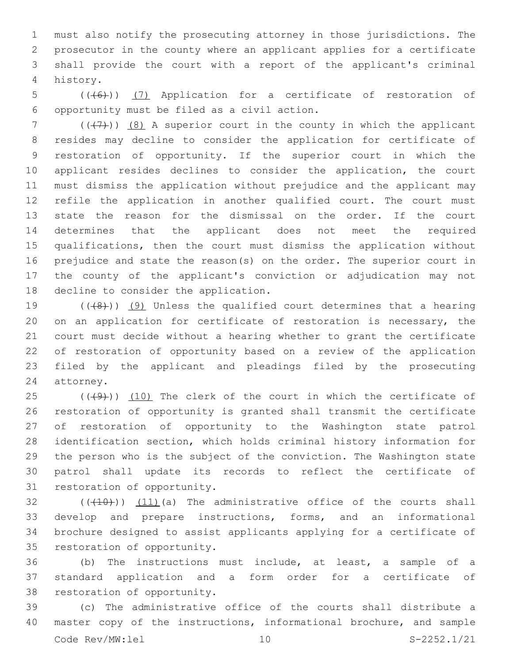must also notify the prosecuting attorney in those jurisdictions. The prosecutor in the county where an applicant applies for a certificate shall provide the court with a report of the applicant's criminal history.4

5 (( $(46)$ )) (7) Application for a certificate of restoration of opportunity must be filed as a civil action.6

7 ( $($  $($  $($  $+$  $)$  $)$   $($  $8$  $)$  A superior court in the county in which the applicant resides may decline to consider the application for certificate of restoration of opportunity. If the superior court in which the applicant resides declines to consider the application, the court must dismiss the application without prejudice and the applicant may refile the application in another qualified court. The court must state the reason for the dismissal on the order. If the court determines that the applicant does not meet the required qualifications, then the court must dismiss the application without prejudice and state the reason(s) on the order. The superior court in the county of the applicant's conviction or adjudication may not 18 decline to consider the application.

 $((+8+))$  (9) Unless the qualified court determines that a hearing on an application for certificate of restoration is necessary, the court must decide without a hearing whether to grant the certificate of restoration of opportunity based on a review of the application filed by the applicant and pleadings filed by the prosecuting 24 attorney.

 $(1)(49)$ ) (10) The clerk of the court in which the certificate of restoration of opportunity is granted shall transmit the certificate of restoration of opportunity to the Washington state patrol identification section, which holds criminal history information for the person who is the subject of the conviction. The Washington state patrol shall update its records to reflect the certificate of 31 restoration of opportunity.

 $(1)(10)$   $(11)(a)$  The administrative office of the courts shall develop and prepare instructions, forms, and an informational brochure designed to assist applicants applying for a certificate of 35 restoration of opportunity.

 (b) The instructions must include, at least, a sample of a standard application and a form order for a certificate of 38 restoration of opportunity.

 (c) The administrative office of the courts shall distribute a master copy of the instructions, informational brochure, and sample Code Rev/MW:lel 10 S-2252.1/21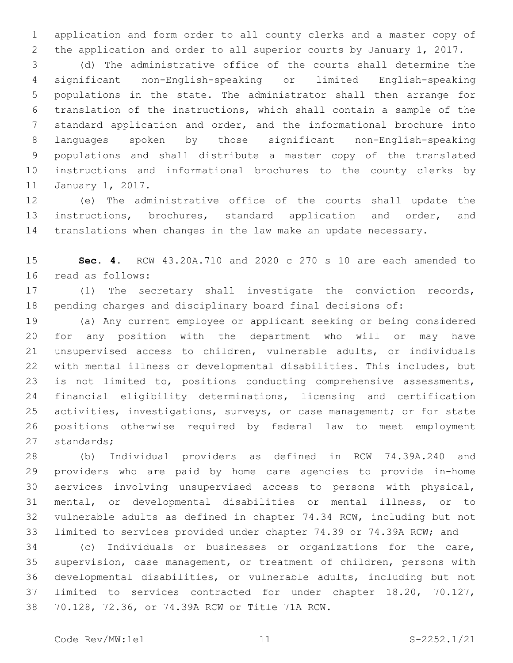application and form order to all county clerks and a master copy of the application and order to all superior courts by January 1, 2017.

 (d) The administrative office of the courts shall determine the significant non-English-speaking or limited English-speaking populations in the state. The administrator shall then arrange for translation of the instructions, which shall contain a sample of the standard application and order, and the informational brochure into languages spoken by those significant non-English-speaking populations and shall distribute a master copy of the translated instructions and informational brochures to the county clerks by 11 January 1, 2017.

 (e) The administrative office of the courts shall update the instructions, brochures, standard application and order, and translations when changes in the law make an update necessary.

 **Sec. 4.** RCW 43.20A.710 and 2020 c 270 s 10 are each amended to 16 read as follows:

 (1) The secretary shall investigate the conviction records, pending charges and disciplinary board final decisions of:

 (a) Any current employee or applicant seeking or being considered for any position with the department who will or may have unsupervised access to children, vulnerable adults, or individuals with mental illness or developmental disabilities. This includes, but is not limited to, positions conducting comprehensive assessments, financial eligibility determinations, licensing and certification activities, investigations, surveys, or case management; or for state positions otherwise required by federal law to meet employment 27 standards;

 (b) Individual providers as defined in RCW 74.39A.240 and providers who are paid by home care agencies to provide in-home services involving unsupervised access to persons with physical, mental, or developmental disabilities or mental illness, or to vulnerable adults as defined in chapter 74.34 RCW, including but not limited to services provided under chapter 74.39 or 74.39A RCW; and

 (c) Individuals or businesses or organizations for the care, supervision, case management, or treatment of children, persons with developmental disabilities, or vulnerable adults, including but not limited to services contracted for under chapter 18.20, 70.127, 70.128, 72.36, or 74.39A RCW or Title 71A RCW.38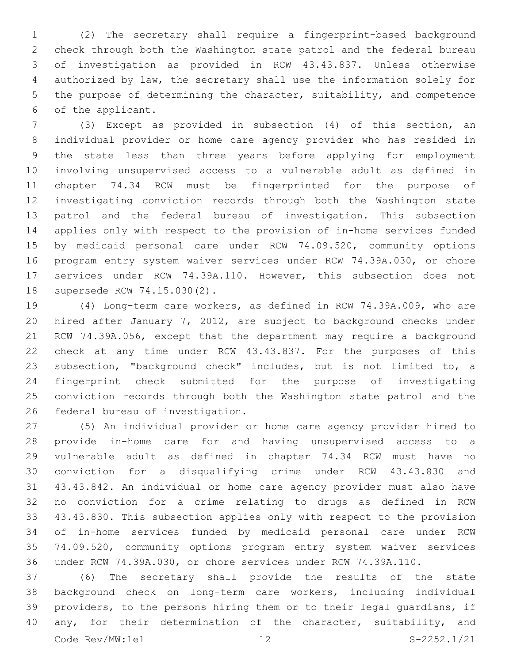(2) The secretary shall require a fingerprint-based background check through both the Washington state patrol and the federal bureau of investigation as provided in RCW 43.43.837. Unless otherwise authorized by law, the secretary shall use the information solely for the purpose of determining the character, suitability, and competence 6 of the applicant.

 (3) Except as provided in subsection (4) of this section, an individual provider or home care agency provider who has resided in the state less than three years before applying for employment involving unsupervised access to a vulnerable adult as defined in chapter 74.34 RCW must be fingerprinted for the purpose of investigating conviction records through both the Washington state patrol and the federal bureau of investigation. This subsection applies only with respect to the provision of in-home services funded by medicaid personal care under RCW 74.09.520, community options program entry system waiver services under RCW 74.39A.030, or chore services under RCW 74.39A.110. However, this subsection does not 18 supersede RCW 74.15.030(2).

 (4) Long-term care workers, as defined in RCW 74.39A.009, who are hired after January 7, 2012, are subject to background checks under RCW 74.39A.056, except that the department may require a background check at any time under RCW 43.43.837. For the purposes of this subsection, "background check" includes, but is not limited to, a fingerprint check submitted for the purpose of investigating conviction records through both the Washington state patrol and the 26 federal bureau of investigation.

 (5) An individual provider or home care agency provider hired to provide in-home care for and having unsupervised access to a vulnerable adult as defined in chapter 74.34 RCW must have no conviction for a disqualifying crime under RCW 43.43.830 and 43.43.842. An individual or home care agency provider must also have no conviction for a crime relating to drugs as defined in RCW 43.43.830. This subsection applies only with respect to the provision of in-home services funded by medicaid personal care under RCW 74.09.520, community options program entry system waiver services under RCW 74.39A.030, or chore services under RCW 74.39A.110.

 (6) The secretary shall provide the results of the state background check on long-term care workers, including individual providers, to the persons hiring them or to their legal guardians, if 40 any, for their determination of the character, suitability, and Code Rev/MW:lel 12 S-2252.1/21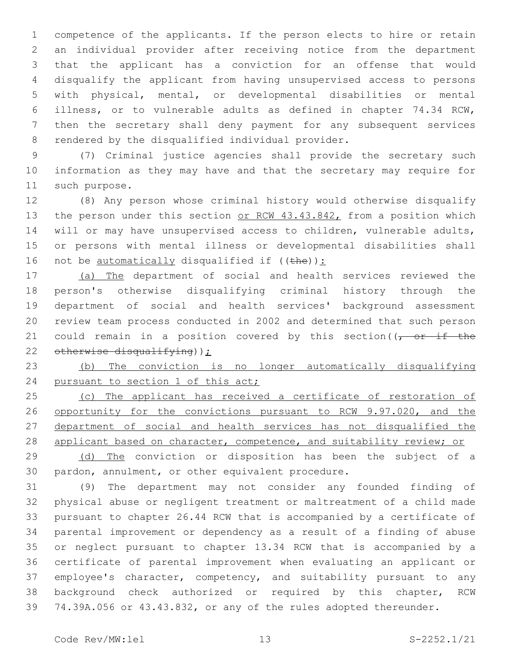competence of the applicants. If the person elects to hire or retain an individual provider after receiving notice from the department that the applicant has a conviction for an offense that would disqualify the applicant from having unsupervised access to persons with physical, mental, or developmental disabilities or mental illness, or to vulnerable adults as defined in chapter 74.34 RCW, then the secretary shall deny payment for any subsequent services 8 rendered by the disqualified individual provider.

 (7) Criminal justice agencies shall provide the secretary such information as they may have and that the secretary may require for 11 such purpose.

 (8) Any person whose criminal history would otherwise disqualify 13 the person under this section or RCW 43.43.842, from a position which will or may have unsupervised access to children, vulnerable adults, or persons with mental illness or developmental disabilities shall 16 not be  $\frac{\text{automatically}}{\text{disqualified if}}$  ((the)):

 (a) The department of social and health services reviewed the person's otherwise disqualifying criminal history through the department of social and health services' background assessment review team process conducted in 2002 and determined that such person 21 could remain in a position covered by this section( $\sqrt{r}$  or if the 22 otherwise disqualifying));

 (b) The conviction is no longer automatically disqualifying 24 pursuant to section 1 of this act;

25 (c) The applicant has received a certificate of restoration of 26 opportunity for the convictions pursuant to RCW 9.97.020, and the department of social and health services has not disqualified the 28 applicant based on character, competence, and suitability review; or

 (d) The conviction or disposition has been the subject of a 30 pardon, annulment, or other equivalent procedure.

 (9) The department may not consider any founded finding of physical abuse or negligent treatment or maltreatment of a child made pursuant to chapter 26.44 RCW that is accompanied by a certificate of parental improvement or dependency as a result of a finding of abuse or neglect pursuant to chapter 13.34 RCW that is accompanied by a certificate of parental improvement when evaluating an applicant or 37 employee's character, competency, and suitability pursuant to any background check authorized or required by this chapter, RCW 74.39A.056 or 43.43.832, or any of the rules adopted thereunder.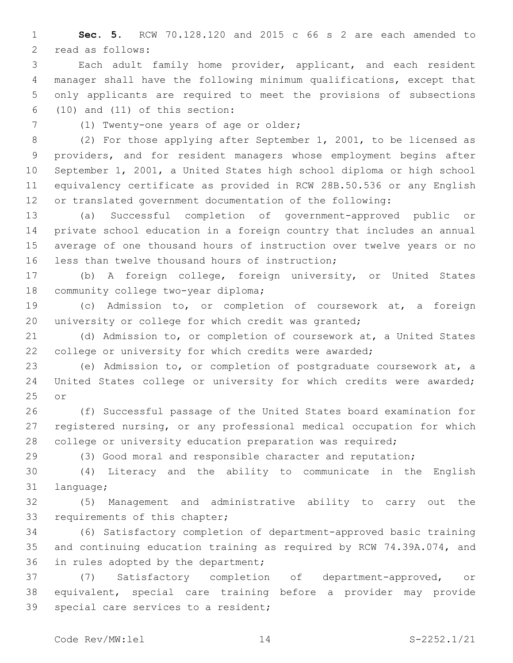**Sec. 5.** RCW 70.128.120 and 2015 c 66 s 2 are each amended to 2 read as follows:

 Each adult family home provider, applicant, and each resident manager shall have the following minimum qualifications, except that only applicants are required to meet the provisions of subsections (10) and (11) of this section:

7 (1) Twenty-one years of age or older;

 (2) For those applying after September 1, 2001, to be licensed as providers, and for resident managers whose employment begins after September 1, 2001, a United States high school diploma or high school equivalency certificate as provided in RCW 28B.50.536 or any English or translated government documentation of the following:

 (a) Successful completion of government-approved public or private school education in a foreign country that includes an annual average of one thousand hours of instruction over twelve years or no 16 less than twelve thousand hours of instruction;

 (b) A foreign college, foreign university, or United States 18 community college two-year diploma;

 (c) Admission to, or completion of coursework at, a foreign university or college for which credit was granted;

 (d) Admission to, or completion of coursework at, a United States college or university for which credits were awarded;

 (e) Admission to, or completion of postgraduate coursework at, a United States college or university for which credits were awarded; 25 or

 (f) Successful passage of the United States board examination for registered nursing, or any professional medical occupation for which college or university education preparation was required;

(3) Good moral and responsible character and reputation;

 (4) Literacy and the ability to communicate in the English 31 language;

 (5) Management and administrative ability to carry out the 33 requirements of this chapter;

 (6) Satisfactory completion of department-approved basic training and continuing education training as required by RCW 74.39A.074, and 36 in rules adopted by the department;

 (7) Satisfactory completion of department-approved, or equivalent, special care training before a provider may provide 39 special care services to a resident;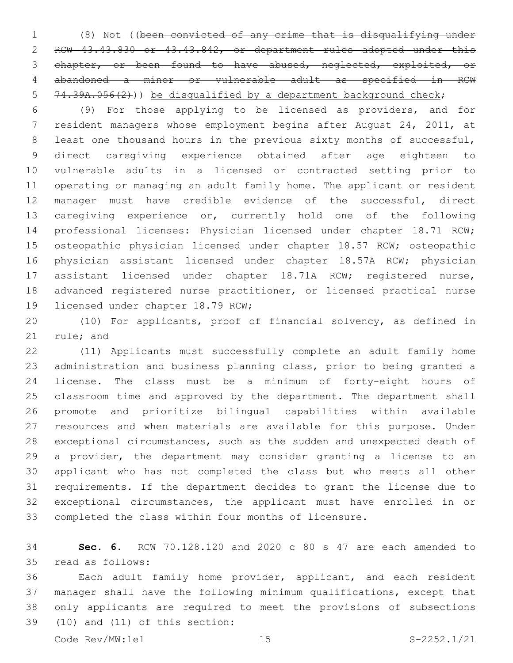(8) Not ((been convicted of any crime that is disqualifying under RCW 43.43.830 or 43.43.842, or department rules adopted under this chapter, or been found to have abused, neglected, exploited, or abandoned a minor or vulnerable adult as specified in RCW 5 74.39A.056(2))) be disqualified by a department background check;

 (9) For those applying to be licensed as providers, and for resident managers whose employment begins after August 24, 2011, at 8 least one thousand hours in the previous sixty months of successful, direct caregiving experience obtained after age eighteen to vulnerable adults in a licensed or contracted setting prior to operating or managing an adult family home. The applicant or resident manager must have credible evidence of the successful, direct caregiving experience or, currently hold one of the following professional licenses: Physician licensed under chapter 18.71 RCW; osteopathic physician licensed under chapter 18.57 RCW; osteopathic physician assistant licensed under chapter 18.57A RCW; physician assistant licensed under chapter 18.71A RCW; registered nurse, advanced registered nurse practitioner, or licensed practical nurse 19 licensed under chapter 18.79 RCW;

 (10) For applicants, proof of financial solvency, as defined in 21 rule; and

 (11) Applicants must successfully complete an adult family home administration and business planning class, prior to being granted a license. The class must be a minimum of forty-eight hours of classroom time and approved by the department. The department shall promote and prioritize bilingual capabilities within available resources and when materials are available for this purpose. Under exceptional circumstances, such as the sudden and unexpected death of a provider, the department may consider granting a license to an applicant who has not completed the class but who meets all other requirements. If the department decides to grant the license due to exceptional circumstances, the applicant must have enrolled in or completed the class within four months of licensure.

 **Sec. 6.** RCW 70.128.120 and 2020 c 80 s 47 are each amended to read as follows:35

 Each adult family home provider, applicant, and each resident manager shall have the following minimum qualifications, except that only applicants are required to meet the provisions of subsections  $(10)$  and  $(11)$  of this section: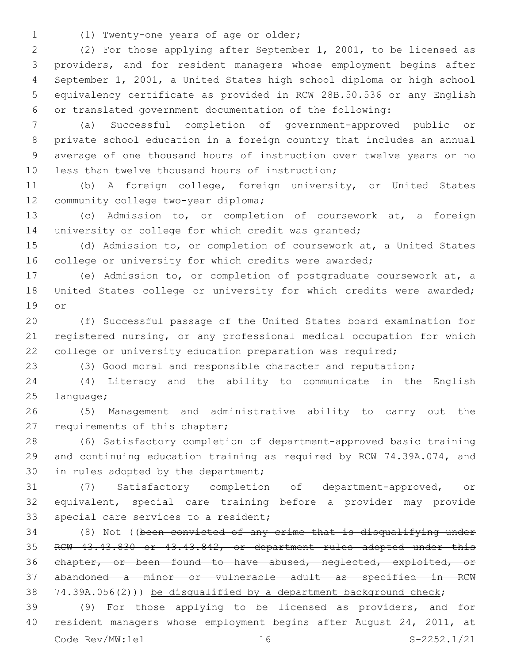(1) Twenty-one years of age or older;1

 (2) For those applying after September 1, 2001, to be licensed as providers, and for resident managers whose employment begins after September 1, 2001, a United States high school diploma or high school equivalency certificate as provided in RCW 28B.50.536 or any English or translated government documentation of the following:

 (a) Successful completion of government-approved public or private school education in a foreign country that includes an annual average of one thousand hours of instruction over twelve years or no 10 less than twelve thousand hours of instruction;

 (b) A foreign college, foreign university, or United States 12 community college two-year diploma;

 (c) Admission to, or completion of coursework at, a foreign 14 university or college for which credit was granted;

 (d) Admission to, or completion of coursework at, a United States 16 college or university for which credits were awarded;

 (e) Admission to, or completion of postgraduate coursework at, a United States college or university for which credits were awarded; or

 (f) Successful passage of the United States board examination for registered nursing, or any professional medical occupation for which 22 college or university education preparation was required;

(3) Good moral and responsible character and reputation;

 (4) Literacy and the ability to communicate in the English 25 language;

 (5) Management and administrative ability to carry out the 27 requirements of this chapter;

 (6) Satisfactory completion of department-approved basic training and continuing education training as required by RCW 74.39A.074, and 30 in rules adopted by the department;

 (7) Satisfactory completion of department-approved, or equivalent, special care training before a provider may provide 33 special care services to a resident;

 (8) Not ((been convicted of any crime that is disqualifying under RCW 43.43.830 or 43.43.842, or department rules adopted under this chapter, or been found to have abused, neglected, exploited, or abandoned a minor or vulnerable adult as specified in RCW 38 74.39A.056(2))) be disqualified by a department background check;

 (9) For those applying to be licensed as providers, and for resident managers whose employment begins after August 24, 2011, at Code Rev/MW:lel 16 S-2252.1/21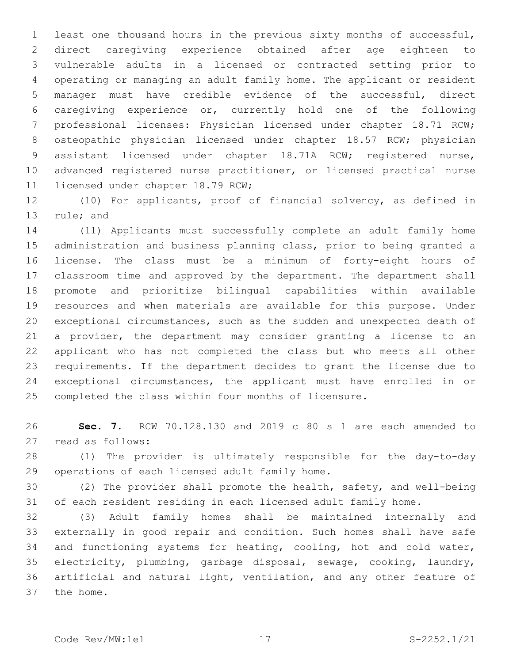least one thousand hours in the previous sixty months of successful, direct caregiving experience obtained after age eighteen to vulnerable adults in a licensed or contracted setting prior to operating or managing an adult family home. The applicant or resident manager must have credible evidence of the successful, direct caregiving experience or, currently hold one of the following professional licenses: Physician licensed under chapter 18.71 RCW; osteopathic physician licensed under chapter 18.57 RCW; physician assistant licensed under chapter 18.71A RCW; registered nurse, advanced registered nurse practitioner, or licensed practical nurse 11 licensed under chapter 18.79 RCW;

 (10) For applicants, proof of financial solvency, as defined in 13 rule; and

 (11) Applicants must successfully complete an adult family home administration and business planning class, prior to being granted a license. The class must be a minimum of forty-eight hours of classroom time and approved by the department. The department shall promote and prioritize bilingual capabilities within available resources and when materials are available for this purpose. Under exceptional circumstances, such as the sudden and unexpected death of a provider, the department may consider granting a license to an applicant who has not completed the class but who meets all other requirements. If the department decides to grant the license due to exceptional circumstances, the applicant must have enrolled in or completed the class within four months of licensure.

 **Sec. 7.** RCW 70.128.130 and 2019 c 80 s 1 are each amended to 27 read as follows:

 (1) The provider is ultimately responsible for the day-to-day 29 operations of each licensed adult family home.

 (2) The provider shall promote the health, safety, and well-being of each resident residing in each licensed adult family home.

 (3) Adult family homes shall be maintained internally and externally in good repair and condition. Such homes shall have safe 34 and functioning systems for heating, cooling, hot and cold water, electricity, plumbing, garbage disposal, sewage, cooking, laundry, artificial and natural light, ventilation, and any other feature of 37 the home.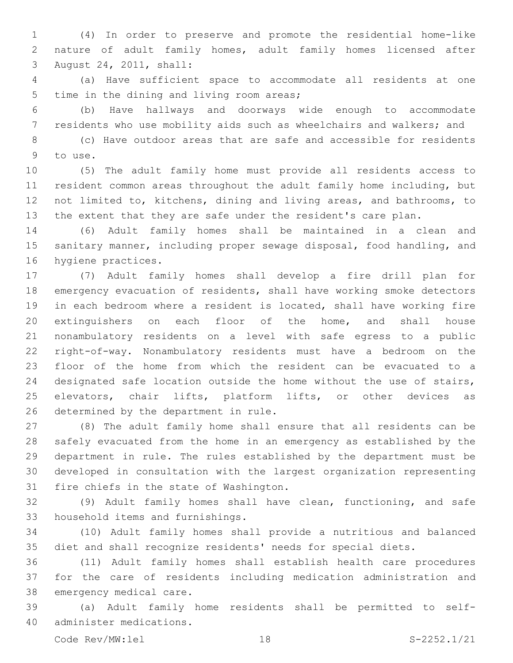(4) In order to preserve and promote the residential home-like nature of adult family homes, adult family homes licensed after August 24, 2011, shall:3

 (a) Have sufficient space to accommodate all residents at one 5 time in the dining and living room areas;

 (b) Have hallways and doorways wide enough to accommodate residents who use mobility aids such as wheelchairs and walkers; and

 (c) Have outdoor areas that are safe and accessible for residents 9 to use.

 (5) The adult family home must provide all residents access to resident common areas throughout the adult family home including, but not limited to, kitchens, dining and living areas, and bathrooms, to the extent that they are safe under the resident's care plan.

 (6) Adult family homes shall be maintained in a clean and sanitary manner, including proper sewage disposal, food handling, and 16 hygiene practices.

 (7) Adult family homes shall develop a fire drill plan for emergency evacuation of residents, shall have working smoke detectors in each bedroom where a resident is located, shall have working fire extinguishers on each floor of the home, and shall house nonambulatory residents on a level with safe egress to a public right-of-way. Nonambulatory residents must have a bedroom on the floor of the home from which the resident can be evacuated to a designated safe location outside the home without the use of stairs, 25 elevators, chair lifts, platform lifts, or other devices as 26 determined by the department in rule.

 (8) The adult family home shall ensure that all residents can be safely evacuated from the home in an emergency as established by the department in rule. The rules established by the department must be developed in consultation with the largest organization representing 31 fire chiefs in the state of Washington.

 (9) Adult family homes shall have clean, functioning, and safe 33 household items and furnishings.

 (10) Adult family homes shall provide a nutritious and balanced diet and shall recognize residents' needs for special diets.

 (11) Adult family homes shall establish health care procedures for the care of residents including medication administration and 38 emergency medical care.

 (a) Adult family home residents shall be permitted to selfadminister medications.40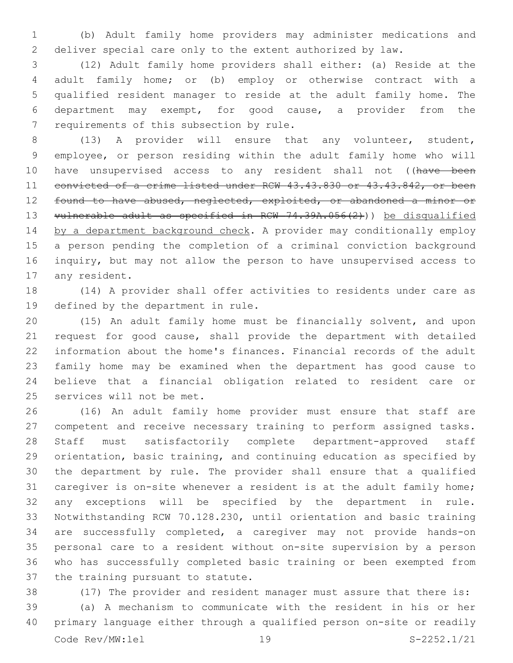(b) Adult family home providers may administer medications and deliver special care only to the extent authorized by law.

 (12) Adult family home providers shall either: (a) Reside at the adult family home; or (b) employ or otherwise contract with a qualified resident manager to reside at the adult family home. The department may exempt, for good cause, a provider from the 7 requirements of this subsection by rule.

 (13) A provider will ensure that any volunteer, student, employee, or person residing within the adult family home who will 10 have unsupervised access to any resident shall not ((have been convicted of a crime listed under RCW 43.43.830 or 43.43.842, or been 12 found to have abused, neglected, exploited, or abandoned a minor or 13 vulnerable adult as specified in RCW 74.39A.056(2))) be disqualified 14 by a department background check. A provider may conditionally employ a person pending the completion of a criminal conviction background inquiry, but may not allow the person to have unsupervised access to 17 any resident.

 (14) A provider shall offer activities to residents under care as 19 defined by the department in rule.

 (15) An adult family home must be financially solvent, and upon request for good cause, shall provide the department with detailed information about the home's finances. Financial records of the adult family home may be examined when the department has good cause to believe that a financial obligation related to resident care or 25 services will not be met.

 (16) An adult family home provider must ensure that staff are competent and receive necessary training to perform assigned tasks. Staff must satisfactorily complete department-approved staff orientation, basic training, and continuing education as specified by the department by rule. The provider shall ensure that a qualified caregiver is on-site whenever a resident is at the adult family home; any exceptions will be specified by the department in rule. Notwithstanding RCW 70.128.230, until orientation and basic training are successfully completed, a caregiver may not provide hands-on personal care to a resident without on-site supervision by a person who has successfully completed basic training or been exempted from 37 the training pursuant to statute.

(17) The provider and resident manager must assure that there is:

 (a) A mechanism to communicate with the resident in his or her primary language either through a qualified person on-site or readily Code Rev/MW:lel 19 S-2252.1/21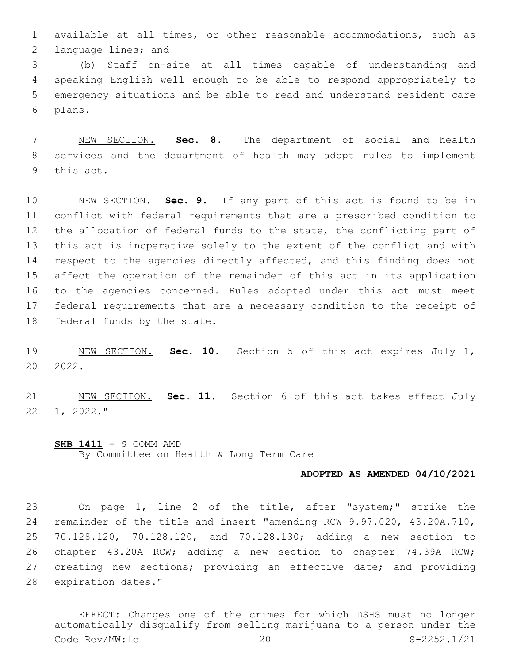available at all times, or other reasonable accommodations, such as 2 language lines; and

 (b) Staff on-site at all times capable of understanding and speaking English well enough to be able to respond appropriately to emergency situations and be able to read and understand resident care plans.6

 NEW SECTION. **Sec. 8.** The department of social and health services and the department of health may adopt rules to implement this act.

 NEW SECTION. **Sec. 9.** If any part of this act is found to be in conflict with federal requirements that are a prescribed condition to the allocation of federal funds to the state, the conflicting part of this act is inoperative solely to the extent of the conflict and with 14 respect to the agencies directly affected, and this finding does not affect the operation of the remainder of this act in its application to the agencies concerned. Rules adopted under this act must meet federal requirements that are a necessary condition to the receipt of federal funds by the state.

 NEW SECTION. **Sec. 10.** Section 5 of this act expires July 1, 2022.

 NEW SECTION. **Sec. 11.** Section 6 of this act takes effect July 1, 2022."

**SHB 1411** - S COMM AMD By Committee on Health & Long Term Care

## **ADOPTED AS AMENDED 04/10/2021**

 On page 1, line 2 of the title, after "system;" strike the remainder of the title and insert "amending RCW 9.97.020, 43.20A.710, 70.128.120, 70.128.120, and 70.128.130; adding a new section to chapter 43.20A RCW; adding a new section to chapter 74.39A RCW; 27 creating new sections; providing an effective date; and providing 28 expiration dates."

EFFECT: Changes one of the crimes for which DSHS must no longer automatically disqualify from selling marijuana to a person under the Code Rev/MW:lel 20 S-2252.1/21